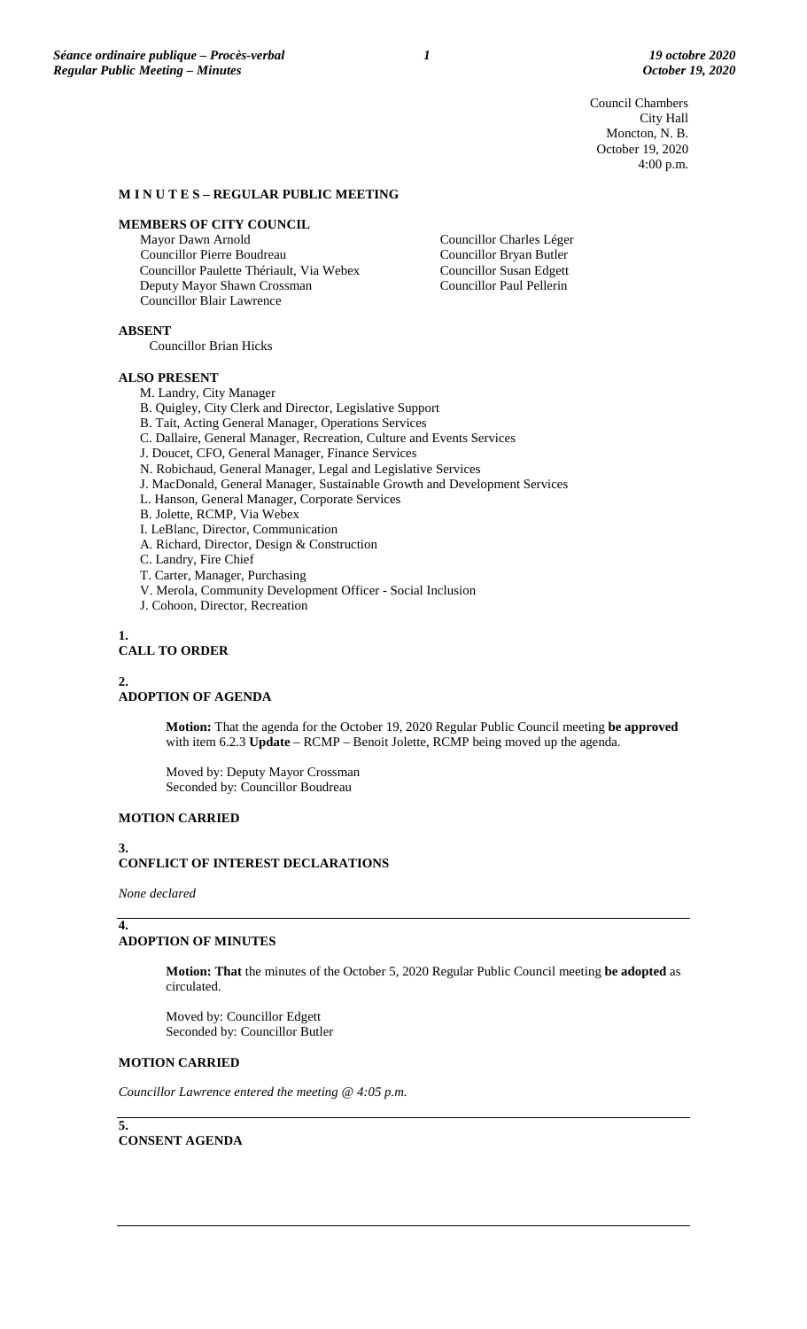Council Chambers City Hall Moncton, N. B. October 19, 2020 4:00 p.m.

# **M I N U T E S – REGULAR PUBLIC MEETING**

#### **MEMBERS OF CITY COUNCIL**

Mayor Dawn Arnold Councillor Pierre Boudreau Councillor Paulette Thériault, Via Webex Deputy Mayor Shawn Crossman Councillor Blair Lawrence

Councillor Charles Léger Councillor Bryan Butler Councillor Susan Edgett Councillor Paul Pellerin

**ABSENT**

Councillor Brian Hicks

# **ALSO PRESENT**

M. Landry, City Manager

- B. Quigley, City Clerk and Director, Legislative Support
- B. Tait, Acting General Manager, Operations Services

C. Dallaire, General Manager, Recreation, Culture and Events Services

- J. Doucet, CFO, General Manager, Finance Services
- N. Robichaud, General Manager, Legal and Legislative Services
- J. MacDonald, General Manager, Sustainable Growth and Development Services
- L. Hanson, General Manager, Corporate Services
- B. Jolette, RCMP, Via Webex
- I. LeBlanc, Director, Communication
- A. Richard, Director, Design & Construction
- C. Landry, Fire Chief
- T. Carter, Manager, Purchasing
- V. Merola, Community Development Officer Social Inclusion
- J. Cohoon, Director, Recreation
- **1.**

# **CALL TO ORDER**

#### **2.**

# **ADOPTION OF AGENDA**

**Motion:** That the agenda for the October 19, 2020 Regular Public Council meeting **be approved** with item 6.2.3 **Update** – RCMP – Benoit Jolette, RCMP being moved up the agenda.

Moved by: Deputy Mayor Crossman Seconded by: Councillor Boudreau

# **MOTION CARRIED**

#### **3.**

# **CONFLICT OF INTEREST DECLARATIONS**

*None declared*

#### **4. ADOPTION OF MINUTES**

**Motion: That** the minutes of the October 5, 2020 Regular Public Council meeting **be adopted** as circulated.

Moved by: Councillor Edgett Seconded by: Councillor Butler

# **MOTION CARRIED**

*Councillor Lawrence entered the meeting @ 4:05 p.m.*

**5.**

# **CONSENT AGENDA**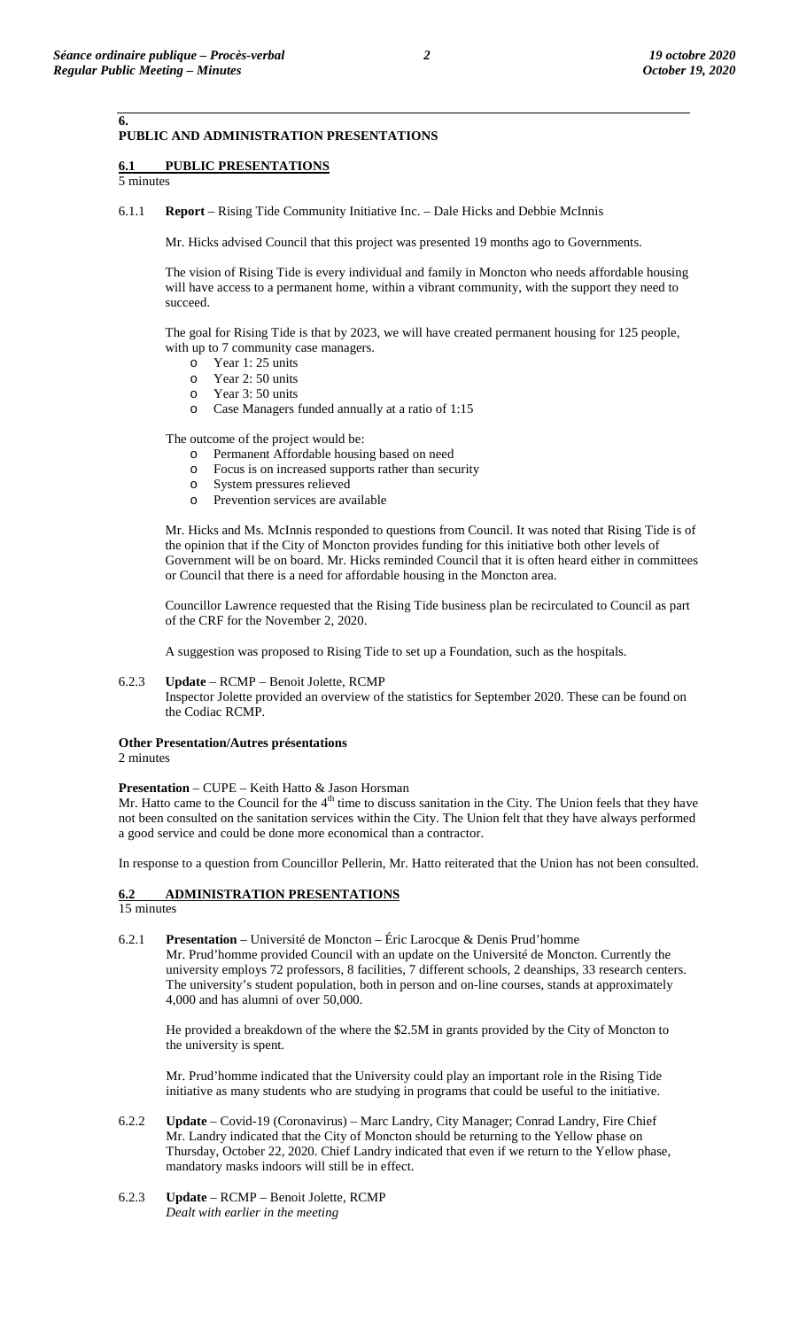# **PUBLIC AND ADMINISTRATION PRESENTATIONS**

# **6.1 PUBLIC PRESENTATIONS**

5 minutes

**6.**

6.1.1 **Report** – Rising Tide Community Initiative Inc. – Dale Hicks and Debbie McInnis

Mr. Hicks advised Council that this project was presented 19 months ago to Governments.

The vision of Rising Tide is every individual and family in Moncton who needs affordable housing will have access to a permanent home, within a vibrant community, with the support they need to succeed.

The goal for Rising Tide is that by 2023, we will have created permanent housing for 125 people, with up to 7 community case managers.

- $\circ$  Year 1: 25 units<br> $\circ$  Year 2: 50 units
- o Year 2: 50 units
- Year 3: 50 units
- o Case Managers funded annually at a ratio of 1:15

The outcome of the project would be:

- o Permanent Affordable housing based on need
- Focus is on increased supports rather than security
- o System pressures relieved
- Prevention services are available

Mr. Hicks and Ms. McInnis responded to questions from Council. It was noted that Rising Tide is of the opinion that if the City of Moncton provides funding for this initiative both other levels of Government will be on board. Mr. Hicks reminded Council that it is often heard either in committees or Council that there is a need for affordable housing in the Moncton area.

Councillor Lawrence requested that the Rising Tide business plan be recirculated to Council as part of the CRF for the November 2, 2020.

A suggestion was proposed to Rising Tide to set up a Foundation, such as the hospitals.

# 6.2.3 **Update** – RCMP – Benoit Jolette, RCMP

Inspector Jolette provided an overview of the statistics for September 2020. These can be found on the Codiac RCMP.

# **Other Presentation/Autres présentations**

2 minutes

#### **Presentation** – CUPE – Keith Hatto & Jason Horsman

Mr. Hatto came to the Council for the  $4<sup>th</sup>$  time to discuss sanitation in the City. The Union feels that they have not been consulted on the sanitation services within the City. The Union felt that they have always performed a good service and could be done more economical than a contractor.

In response to a question from Councillor Pellerin, Mr. Hatto reiterated that the Union has not been consulted.

# **6.2 ADMINISTRATION PRESENTATIONS**

15 minutes

6.2.1 **Presentation** – Université de Moncton – Éric Larocque & Denis Prud'homme Mr. Prud'homme provided Council with an update on the Université de Moncton. Currently the university employs 72 professors, 8 facilities, 7 different schools, 2 deanships, 33 research centers. The university's student population, both in person and on-line courses, stands at approximately 4,000 and has alumni of over 50,000.

He provided a breakdown of the where the \$2.5M in grants provided by the City of Moncton to the university is spent.

Mr. Prud'homme indicated that the University could play an important role in the Rising Tide initiative as many students who are studying in programs that could be useful to the initiative.

- 6.2.2 **Update** Covid-19 (Coronavirus) Marc Landry, City Manager; Conrad Landry, Fire Chief Mr. Landry indicated that the City of Moncton should be returning to the Yellow phase on Thursday, October 22, 2020. Chief Landry indicated that even if we return to the Yellow phase, mandatory masks indoors will still be in effect.
- 6.2.3 **Update** RCMP Benoit Jolette, RCMP *Dealt with earlier in the meeting*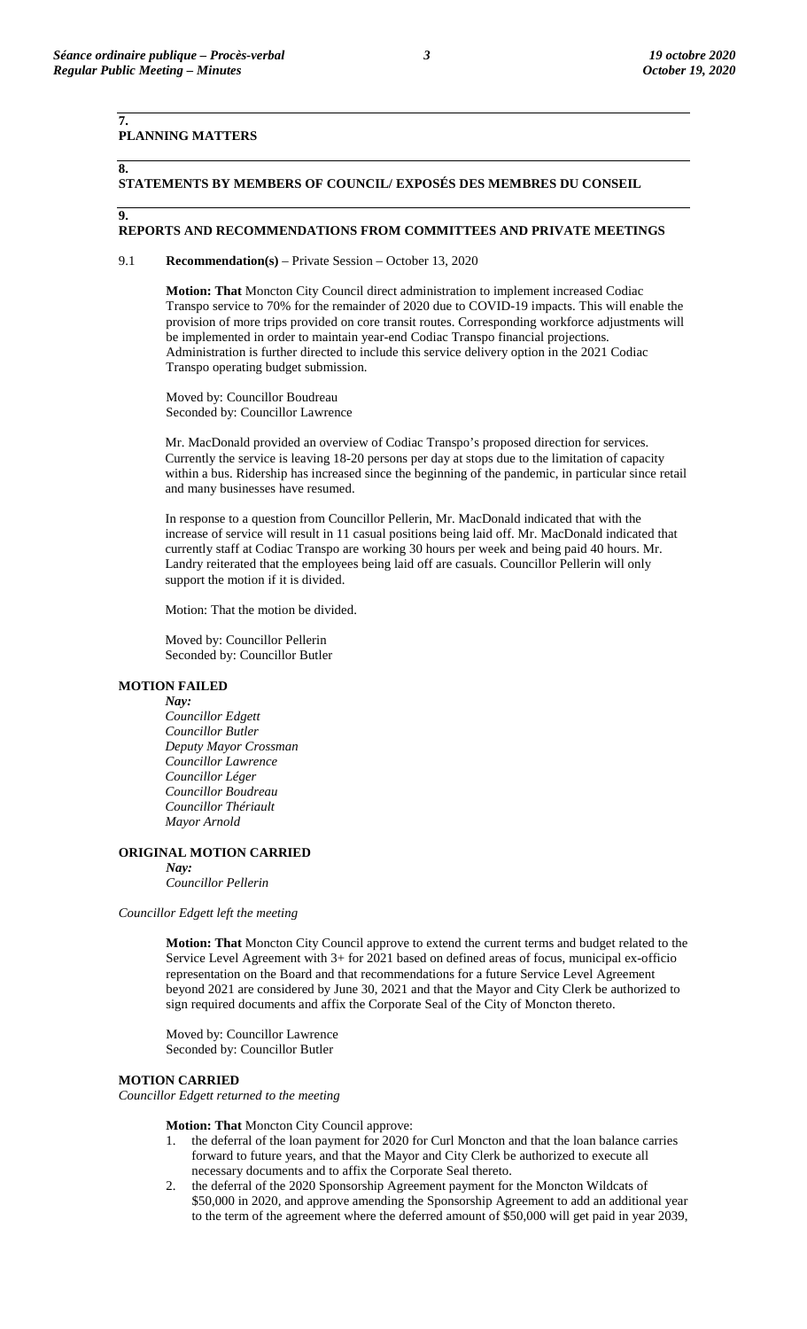# **PLANNING MATTERS**

# **8. 9.**

**7.**

**STATEMENTS BY MEMBERS OF COUNCIL/ EXPOSÉS DES MEMBRES DU CONSEIL**

#### **REPORTS AND RECOMMENDATIONS FROM COMMITTEES AND PRIVATE MEETINGS**

9.1 **Recommendation(s)** – Private Session – October 13, 2020

**Motion: That** Moncton City Council direct administration to implement increased Codiac Transpo service to 70% for the remainder of 2020 due to COVID-19 impacts. This will enable the provision of more trips provided on core transit routes. Corresponding workforce adjustments will be implemented in order to maintain year-end Codiac Transpo financial projections. Administration is further directed to include this service delivery option in the 2021 Codiac Transpo operating budget submission.

Moved by: Councillor Boudreau Seconded by: Councillor Lawrence

Mr. MacDonald provided an overview of Codiac Transpo's proposed direction for services. Currently the service is leaving 18-20 persons per day at stops due to the limitation of capacity within a bus. Ridership has increased since the beginning of the pandemic, in particular since retail and many businesses have resumed.

In response to a question from Councillor Pellerin, Mr. MacDonald indicated that with the increase of service will result in 11 casual positions being laid off. Mr. MacDonald indicated that currently staff at Codiac Transpo are working 30 hours per week and being paid 40 hours. Mr. Landry reiterated that the employees being laid off are casuals. Councillor Pellerin will only support the motion if it is divided.

Motion: That the motion be divided.

Moved by: Councillor Pellerin Seconded by: Councillor Butler

# **MOTION FAILED**

*Nay: Councillor Edgett Councillor Butler Deputy Mayor Crossman Councillor Lawrence Councillor Léger Councillor Boudreau Councillor Thériault Mayor Arnold*

# **ORIGINAL MOTION CARRIED**

*Nay: Councillor Pellerin*

*Councillor Edgett left the meeting*

**Motion: That** Moncton City Council approve to extend the current terms and budget related to the Service Level Agreement with 3+ for 2021 based on defined areas of focus, municipal ex-officio representation on the Board and that recommendations for a future Service Level Agreement beyond 2021 are considered by June 30, 2021 and that the Mayor and City Clerk be authorized to sign required documents and affix the Corporate Seal of the City of Moncton thereto.

Moved by: Councillor Lawrence Seconded by: Councillor Butler

# **MOTION CARRIED**

*Councillor Edgett returned to the meeting*

**Motion: That** Moncton City Council approve:

- 1. the deferral of the loan payment for 2020 for Curl Moncton and that the loan balance carries forward to future years, and that the Mayor and City Clerk be authorized to execute all necessary documents and to affix the Corporate Seal thereto.
- 2. the deferral of the 2020 Sponsorship Agreement payment for the Moncton Wildcats of \$50,000 in 2020, and approve amending the Sponsorship Agreement to add an additional year to the term of the agreement where the deferred amount of \$50,000 will get paid in year 2039,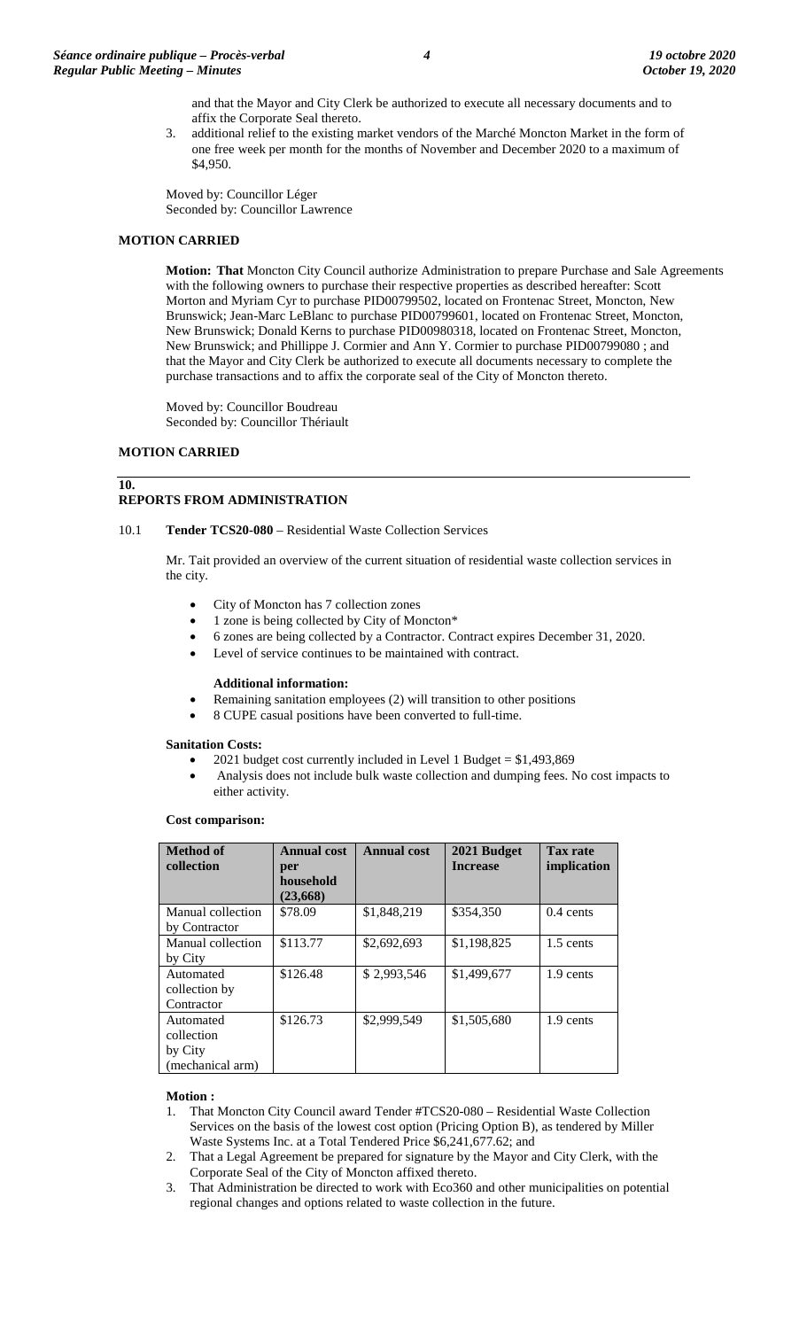and that the Mayor and City Clerk be authorized to execute all necessary documents and to affix the Corporate Seal thereto.

3. additional relief to the existing market vendors of the Marché Moncton Market in the form of one free week per month for the months of November and December 2020 to a maximum of \$4,950.

Moved by: Councillor Léger Seconded by: Councillor Lawrence

# **MOTION CARRIED**

**Motion: That** Moncton City Council authorize Administration to prepare Purchase and Sale Agreements with the following owners to purchase their respective properties as described hereafter: Scott Morton and Myriam Cyr to purchase PID00799502, located on Frontenac Street, Moncton, New Brunswick; Jean-Marc LeBlanc to purchase PID00799601, located on Frontenac Street, Moncton, New Brunswick; Donald Kerns to purchase PID00980318, located on Frontenac Street, Moncton, New Brunswick; and Phillippe J. Cormier and Ann Y. Cormier to purchase PID00799080 ; and that the Mayor and City Clerk be authorized to execute all documents necessary to complete the purchase transactions and to affix the corporate seal of the City of Moncton thereto.

Moved by: Councillor Boudreau Seconded by: Councillor Thériault

# **MOTION CARRIED**

**10.**

# **REPORTS FROM ADMINISTRATION**

# 10.1 **Tender TCS20-080** – Residential Waste Collection Services

Mr. Tait provided an overview of the current situation of residential waste collection services in the city.

- City of Moncton has 7 collection zones
- 1 zone is being collected by City of Moncton\*
- 6 zones are being collected by a Contractor. Contract expires December 31, 2020.
- Level of service continues to be maintained with contract.

#### **Additional information:**

- Remaining sanitation employees (2) will transition to other positions
- 8 CUPE casual positions have been converted to full-time.

# **Sanitation Costs:**

- 2021 budget cost currently included in Level 1 Budget = \$1,493,869
- Analysis does not include bulk waste collection and dumping fees. No cost impacts to either activity.

#### **Cost comparison:**

| <b>Method of</b><br>collection                         | <b>Annual cost</b><br>per<br>household<br>(23, 668) | <b>Annual cost</b> | 2021 Budget<br><b>Increase</b> | <b>Tax rate</b><br>implication |
|--------------------------------------------------------|-----------------------------------------------------|--------------------|--------------------------------|--------------------------------|
| Manual collection<br>by Contractor                     | \$78.09                                             | \$1,848,219        | \$354,350                      | $0.4$ cents                    |
| Manual collection<br>by City                           | \$113.77                                            | \$2,692,693        | \$1,198,825                    | 1.5 cents                      |
| Automated<br>collection by<br>Contractor               | \$126.48                                            | \$2,993,546        | \$1,499,677                    | 1.9 cents                      |
| Automated<br>collection<br>by City<br>(mechanical arm) | \$126.73                                            | \$2,999,549        | \$1,505,680                    | 1.9 cents                      |

#### **Motion :**

- 1. That Moncton City Council award Tender #TCS20-080 Residential Waste Collection Services on the basis of the lowest cost option (Pricing Option B), as tendered by Miller Waste Systems Inc. at a Total Tendered Price \$6,241,677.62; and
- 2. That a Legal Agreement be prepared for signature by the Mayor and City Clerk, with the Corporate Seal of the City of Moncton affixed thereto.
- 3. That Administration be directed to work with Eco360 and other municipalities on potential regional changes and options related to waste collection in the future.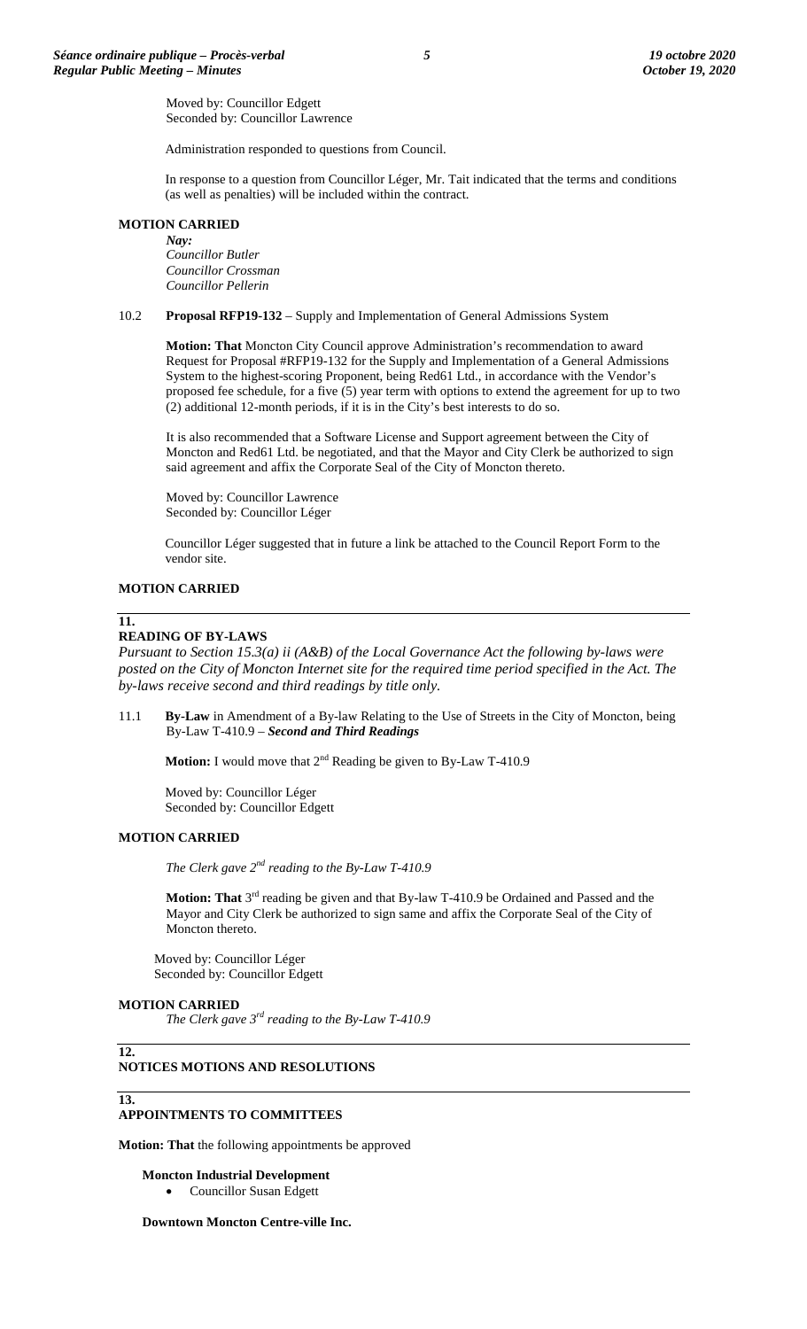Moved by: Councillor Edgett Seconded by: Councillor Lawrence

Administration responded to questions from Council.

In response to a question from Councillor Léger, Mr. Tait indicated that the terms and conditions (as well as penalties) will be included within the contract.

# **MOTION CARRIED**

*Nay: Councillor Butler Councillor Crossman Councillor Pellerin*

10.2 **Proposal RFP19-132** – Supply and Implementation of General Admissions System

**Motion: That** Moncton City Council approve Administration's recommendation to award Request for Proposal #RFP19-132 for the Supply and Implementation of a General Admissions System to the highest-scoring Proponent, being Red61 Ltd., in accordance with the Vendor's proposed fee schedule, for a five (5) year term with options to extend the agreement for up to two (2) additional 12-month periods, if it is in the City's best interests to do so.

It is also recommended that a Software License and Support agreement between the City of Moncton and Red61 Ltd. be negotiated, and that the Mayor and City Clerk be authorized to sign said agreement and affix the Corporate Seal of the City of Moncton thereto.

Moved by: Councillor Lawrence Seconded by: Councillor Léger

Councillor Léger suggested that in future a link be attached to the Council Report Form to the vendor site.

# **MOTION CARRIED**

#### **11.**

#### **READING OF BY-LAWS**

*Pursuant to Section 15.3(a) ii (A&B) of the Local Governance Act the following by-laws were posted on the City of Moncton Internet site for the required time period specified in the Act. The by-laws receive second and third readings by title only.*

11.1 **By-Law** in Amendment of a By-law Relating to the Use of Streets in the City of Moncton, being By-Law T-410.9 – *Second and Third Readings*

**Motion:** I would move that 2<sup>nd</sup> Reading be given to By-Law T-410.9

Moved by: Councillor Léger Seconded by: Councillor Edgett

# **MOTION CARRIED**

*The Clerk gave 2nd reading to the By-Law T-410.9*

**Motion: That** 3<sup>rd</sup> reading be given and that By-law T-410.9 be Ordained and Passed and the Mayor and City Clerk be authorized to sign same and affix the Corporate Seal of the City of Moncton thereto.

Moved by: Councillor Léger Seconded by: Councillor Edgett

#### **MOTION CARRIED**

*The Clerk gave 3rd reading to the By-Law T-410.9*

# **NOTICES MOTIONS AND RESOLUTIONS**

#### **13.**

**12.**

# **APPOINTMENTS TO COMMITTEES**

**Motion: That** the following appointments be approved

# **Moncton Industrial Development**

• Councillor Susan Edgett

# **Downtown Moncton Centre-ville Inc.**